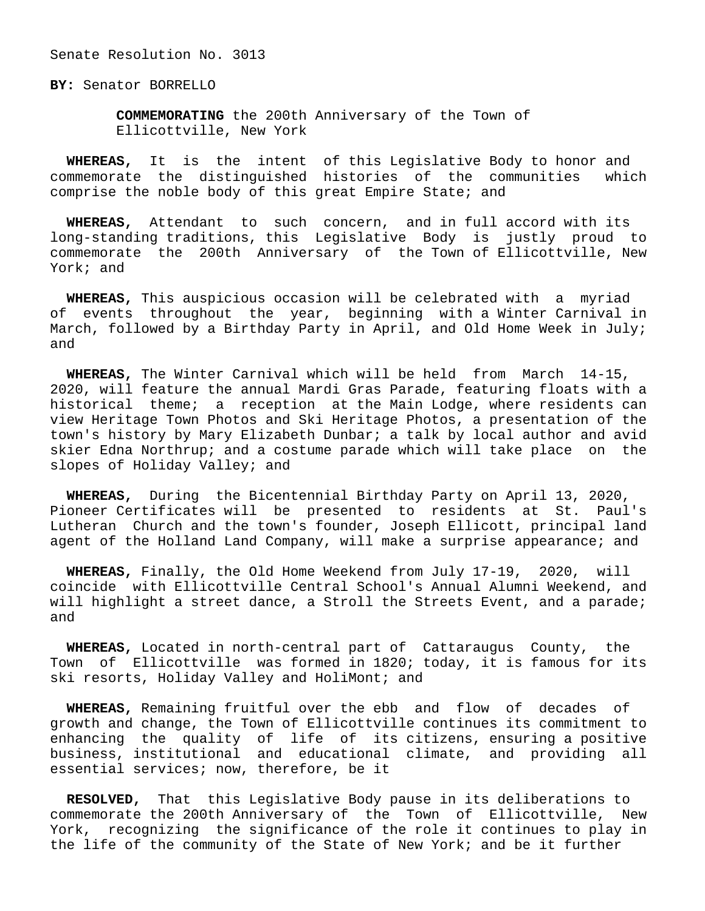Senate Resolution No. 3013

**BY:** Senator BORRELLO

 **COMMEMORATING** the 200th Anniversary of the Town of Ellicottville, New York

 **WHEREAS,** It is the intent of this Legislative Body to honor and commemorate the distinguished histories of the communities which comprise the noble body of this great Empire State; and

 **WHEREAS,** Attendant to such concern, and in full accord with its long-standing traditions, this Legislative Body is justly proud to commemorate the 200th Anniversary of the Town of Ellicottville, New York; and

 **WHEREAS,** This auspicious occasion will be celebrated with a myriad of events throughout the year, beginning with a Winter Carnival in March, followed by a Birthday Party in April, and Old Home Week in July; and

 **WHEREAS,** The Winter Carnival which will be held from March 14-15, 2020, will feature the annual Mardi Gras Parade, featuring floats with a historical theme; a reception at the Main Lodge, where residents can view Heritage Town Photos and Ski Heritage Photos, a presentation of the town's history by Mary Elizabeth Dunbar; a talk by local author and avid skier Edna Northrup; and a costume parade which will take place on the slopes of Holiday Valley; and

 **WHEREAS,** During the Bicentennial Birthday Party on April 13, 2020, Pioneer Certificates will be presented to residents at St. Paul's Lutheran Church and the town's founder, Joseph Ellicott, principal land agent of the Holland Land Company, will make a surprise appearance; and

 **WHEREAS,** Finally, the Old Home Weekend from July 17-19, 2020, will coincide with Ellicottville Central School's Annual Alumni Weekend, and will highlight a street dance, a Stroll the Streets Event, and a parade; and

 **WHEREAS,** Located in north-central part of Cattaraugus County, the Town of Ellicottville was formed in 1820; today, it is famous for its ski resorts, Holiday Valley and HoliMont; and

 **WHEREAS,** Remaining fruitful over the ebb and flow of decades of growth and change, the Town of Ellicottville continues its commitment to enhancing the quality of life of its citizens, ensuring a positive business, institutional and educational climate, and providing all essential services; now, therefore, be it

 **RESOLVED,** That this Legislative Body pause in its deliberations to commemorate the 200th Anniversary of the Town of Ellicottville, New York, recognizing the significance of the role it continues to play in the life of the community of the State of New York; and be it further